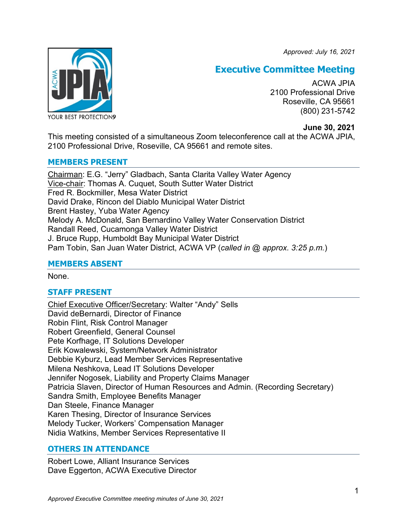*Approved: July 16, 2021*



# **Executive Committee Meeting**

ACWA JPIA 2100 Professional Drive Roseville, CA 95661 (800) 231-5742

# **June 30, 2021**

This meeting consisted of a simultaneous Zoom teleconference call at the ACWA JPIA, 2100 Professional Drive, Roseville, CA 95661 and remote sites.

# **MEMBERS PRESENT**

Chairman: E.G. "Jerry" Gladbach, Santa Clarita Valley Water Agency Vice-chair: Thomas A. Cuquet, South Sutter Water District Fred R. Bockmiller, Mesa Water District David Drake, Rincon del Diablo Municipal Water District Brent Hastey, Yuba Water Agency Melody A. McDonald, San Bernardino Valley Water Conservation District Randall Reed, Cucamonga Valley Water District J. Bruce Rupp, Humboldt Bay Municipal Water District Pam Tobin, San Juan Water District, ACWA VP (*called in @ approx. 3:25 p.m.*)

# **MEMBERS ABSENT**

None.

# **STAFF PRESENT**

Chief Executive Officer/Secretary: Walter "Andy" Sells David deBernardi, Director of Finance Robin Flint, Risk Control Manager Robert Greenfield, General Counsel Pete Korfhage, IT Solutions Developer Erik Kowalewski, System/Network Administrator Debbie Kyburz, Lead Member Services Representative Milena Neshkova, Lead IT Solutions Developer Jennifer Nogosek, Liability and Property Claims Manager Patricia Slaven, Director of Human Resources and Admin. (Recording Secretary) Sandra Smith, Employee Benefits Manager Dan Steele, Finance Manager Karen Thesing, Director of Insurance Services Melody Tucker, Workers' Compensation Manager Nidia Watkins, Member Services Representative II

# **OTHERS IN ATTENDANCE**

Robert Lowe, Alliant Insurance Services Dave Eggerton, ACWA Executive Director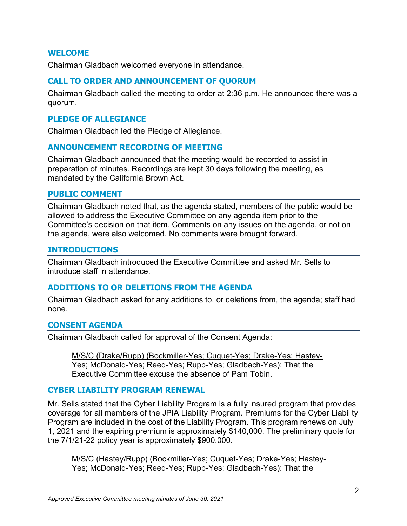#### **WELCOME**

Chairman Gladbach welcomed everyone in attendance.

#### **CALL TO ORDER AND ANNOUNCEMENT OF QUORUM**

Chairman Gladbach called the meeting to order at 2:36 p.m. He announced there was a quorum.

#### **PLEDGE OF ALLEGIANCE**

Chairman Gladbach led the Pledge of Allegiance.

#### **ANNOUNCEMENT RECORDING OF MEETING**

Chairman Gladbach announced that the meeting would be recorded to assist in preparation of minutes. Recordings are kept 30 days following the meeting, as mandated by the California Brown Act.

#### **PUBLIC COMMENT**

Chairman Gladbach noted that, as the agenda stated, members of the public would be allowed to address the Executive Committee on any agenda item prior to the Committee's decision on that item. Comments on any issues on the agenda, or not on the agenda, were also welcomed. No comments were brought forward.

#### **INTRODUCTIONS**

Chairman Gladbach introduced the Executive Committee and asked Mr. Sells to introduce staff in attendance.

#### **ADDITIONS TO OR DELETIONS FROM THE AGENDA**

Chairman Gladbach asked for any additions to, or deletions from, the agenda; staff had none.

#### **CONSENT AGENDA**

Chairman Gladbach called for approval of the Consent Agenda:

M/S/C (Drake/Rupp) (Bockmiller-Yes; Cuquet-Yes; Drake-Yes; Hastey-Yes; McDonald-Yes; Reed-Yes; Rupp-Yes; Gladbach-Yes): That the Executive Committee excuse the absence of Pam Tobin.

# **CYBER LIABILITY PROGRAM RENEWAL**

Mr. Sells stated that the Cyber Liability Program is a fully insured program that provides coverage for all members of the JPIA Liability Program. Premiums for the Cyber Liability Program are included in the cost of the Liability Program. This program renews on July 1, 2021 and the expiring premium is approximately \$140,000. The preliminary quote for the 7/1/21-22 policy year is approximately \$900,000.

M/S/C (Hastey/Rupp) (Bockmiller-Yes; Cuquet-Yes; Drake-Yes; Hastey-Yes; McDonald-Yes; Reed-Yes; Rupp-Yes; Gladbach-Yes): That the